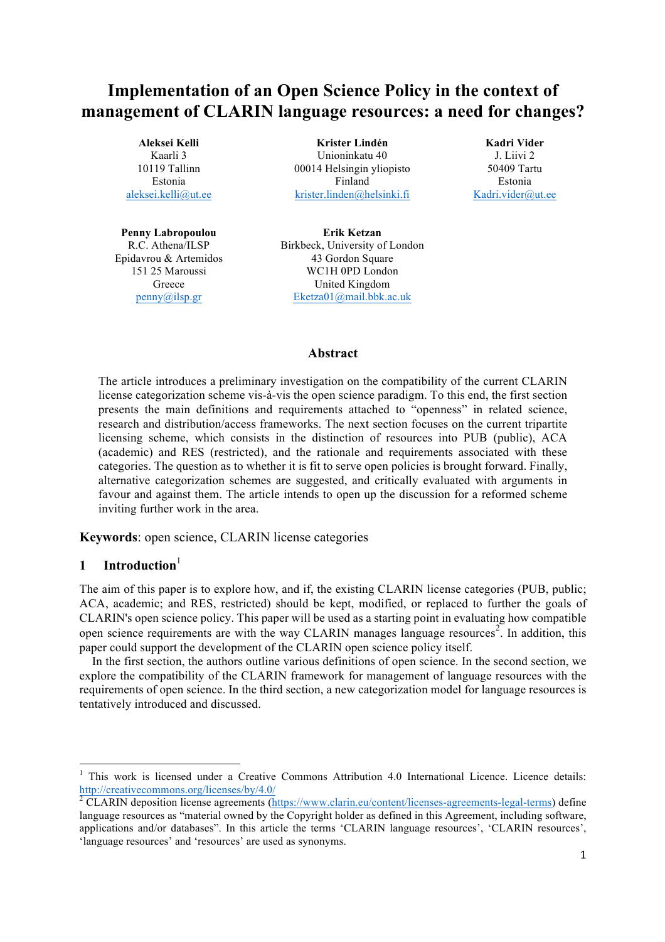# **Implementation of an Open Science Policy in the context of management of CLARIN language resources: a need for changes?**

**Aleksei Kelli** Kaarli 3 10119 Tallinn Estonia aleksei.kelli@ut.ee

**Penny Labropoulou** R.C. Athena/ILSP Epidavrou & Artemidos 151 25 Maroussi **Greece** penny@ilsp.gr

**Krister Lindén**  Unioninkatu 40 00014 Helsingin yliopisto Finland krister.linden@helsinki.fi

**Kadri Vider** J. Liivi 2 50409 Tartu Estonia Kadri.vider@ut.ee

**Erik Ketzan**  Birkbeck, University of London 43 Gordon Square WC1H 0PD London United Kingdom Eketza01@mail.bbk.ac.uk

#### **Abstract**

The article introduces a preliminary investigation on the compatibility of the current CLARIN license categorization scheme vis-à-vis the open science paradigm. To this end, the first section presents the main definitions and requirements attached to "openness" in related science, research and distribution/access frameworks. The next section focuses on the current tripartite licensing scheme, which consists in the distinction of resources into PUB (public), ACA (academic) and RES (restricted), and the rationale and requirements associated with these categories. The question as to whether it is fit to serve open policies is brought forward. Finally, alternative categorization schemes are suggested, and critically evaluated with arguments in favour and against them. The article intends to open up the discussion for a reformed scheme inviting further work in the area.

**Keywords**: open science, CLARIN license categories

# **1 Introduction**<sup>1</sup>

<u> 1989 - Johann Barn, mars ann an t-Amhain an t-Amhain an t-Amhain an t-Amhain an t-Amhain an t-Amhain an t-Amh</u>

The aim of this paper is to explore how, and if, the existing CLARIN license categories (PUB, public; ACA, academic; and RES, restricted) should be kept, modified, or replaced to further the goals of CLARIN's open science policy. This paper will be used as a starting point in evaluating how compatible open science requirements are with the way CLARIN manages language resources<sup>2</sup>. In addition, this paper could support the development of the CLARIN open science policy itself.

In the first section, the authors outline various definitions of open science. In the second section, we explore the compatibility of the CLARIN framework for management of language resources with the requirements of open science. In the third section, a new categorization model for language resources is tentatively introduced and discussed.

<sup>&</sup>lt;sup>1</sup> This work is licensed under a Creative Commons Attribution 4.0 International Licence. Licence details: http://creativecommons.org/licenses/by/4.0/

<sup>2</sup> CLARIN deposition license agreements (https://www.clarin.eu/content/licenses-agreements-legal-terms) define language resources as "material owned by the Copyright holder as defined in this Agreement, including software, applications and/or databases". In this article the terms 'CLARIN language resources', 'CLARIN resources', 'language resources' and 'resources' are used as synonyms.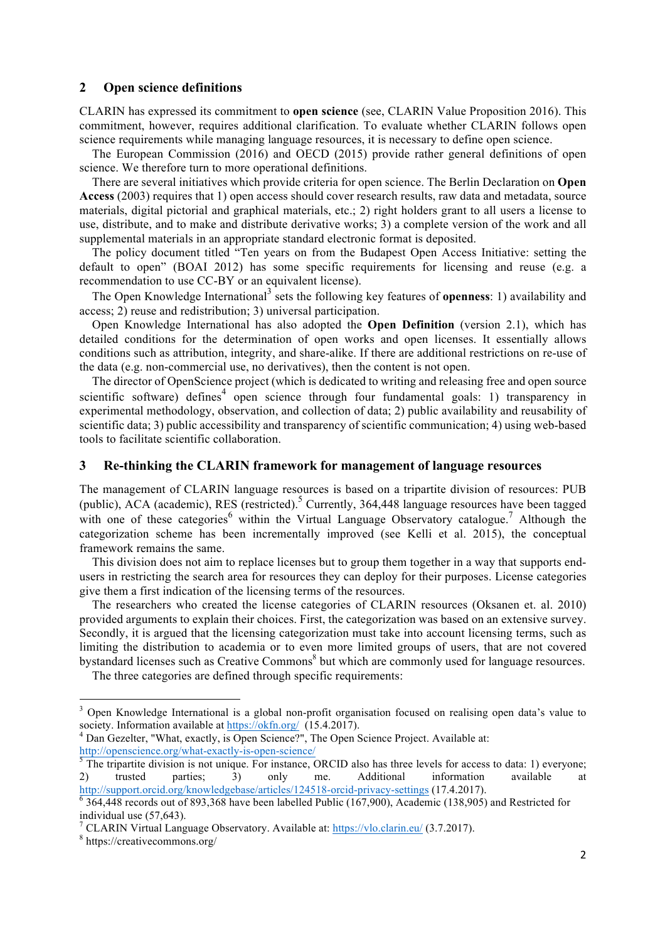#### **2 Open science definitions**

CLARIN has expressed its commitment to **open science** (see, CLARIN Value Proposition 2016). This commitment, however, requires additional clarification. To evaluate whether CLARIN follows open science requirements while managing language resources, it is necessary to define open science.

The European Commission (2016) and OECD (2015) provide rather general definitions of open science. We therefore turn to more operational definitions.

There are several initiatives which provide criteria for open science. The Berlin Declaration on **Open Access** (2003) requires that 1) open access should cover research results, raw data and metadata, source materials, digital pictorial and graphical materials, etc.; 2) right holders grant to all users a license to use, distribute, and to make and distribute derivative works; 3) a complete version of the work and all supplemental materials in an appropriate standard electronic format is deposited.

The policy document titled "Ten years on from the Budapest Open Access Initiative: setting the default to open" (BOAI 2012) has some specific requirements for licensing and reuse (e.g. a recommendation to use CC-BY or an equivalent license).

The Open Knowledge International<sup>3</sup> sets the following key features of **openness**: 1) availability and access; 2) reuse and redistribution; 3) universal participation.

Open Knowledge International has also adopted the **Open Definition** (version 2.1), which has detailed conditions for the determination of open works and open licenses. It essentially allows conditions such as attribution, integrity, and share-alike. If there are additional restrictions on re-use of the data (e.g. non-commercial use, no derivatives), then the content is not open.

The director of OpenScience project (which is dedicated to writing and releasing free and open source scientific software) defines<sup>4</sup> open science through four fundamental goals: 1) transparency in experimental methodology, observation, and collection of data; 2) public availability and reusability of scientific data; 3) public accessibility and transparency of scientific communication; 4) using web-based tools to facilitate scientific collaboration.

#### **3 Re-thinking the CLARIN framework for management of language resources**

The management of CLARIN language resources is based on a tripartite division of resources: PUB (public), ACA (academic), RES (restricted).<sup>5</sup> Currently, 364,448 language resources have been tagged with one of these categories within the Virtual Language Observatory catalogue.<sup>7</sup> Although the categorization scheme has been incrementally improved (see Kelli et al. 2015), the conceptual framework remains the same.

This division does not aim to replace licenses but to group them together in a way that supports endusers in restricting the search area for resources they can deploy for their purposes. License categories give them a first indication of the licensing terms of the resources.

The researchers who created the license categories of CLARIN resources (Oksanen et. al. 2010) provided arguments to explain their choices. First, the categorization was based on an extensive survey. Secondly, it is argued that the licensing categorization must take into account licensing terms, such as limiting the distribution to academia or to even more limited groups of users, that are not covered bystandard licenses such as Creative Commons<sup>8</sup> but which are commonly used for language resources.

The three categories are defined through specific requirements:

<u> 1989 - Johann Barn, mars ann an t-Amhain an t-Amhain an t-Amhain an t-Amhain an t-Amhain an t-Amhain an t-Amh</u>

<sup>&</sup>lt;sup>3</sup> Open Knowledge International is a global non-profit organisation focused on realising open data's value to society. Information available at https://okfn.org/ (15.4.2017).<br><sup>4</sup> Dan Gezelter, "What, exactly, is Open Science?", The Open Science Project. Available at:

http://openscience.org/what-exactly-is-open-science/<br>
<sup>5</sup> The tripartite division is not unique. For instance, ORCID also has three levels for access to data: 1) everyone;

<sup>2)</sup> trusted parties; 3) only me. Additional information available at http://support.orcid.org/knowledgebase/articles/124518-orcid-privacy-settings (17.4.2017).<br><sup>6</sup> 364,448 records out of 893,368 have been labelled Public (167,900), Academic (138,905) and Restricted for

individual use (57,643).

<sup>&</sup>lt;sup>7</sup> CLARIN Virtual Language Observatory. Available at:  $\frac{https://vlo.clarin.eu/}{https://crelarine.u/}(3.7.2017)$ .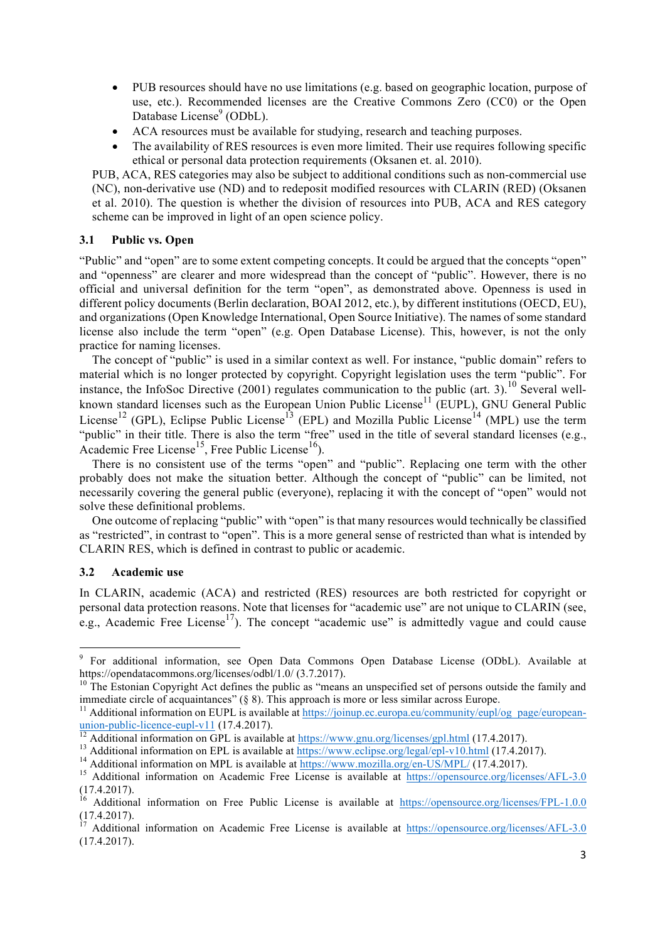- PUB resources should have no use limitations (e.g. based on geographic location, purpose of use, etc.). Recommended licenses are the Creative Commons Zero (CC0) or the Open Database License<sup>9</sup> (ODbL).
- ACA resources must be available for studying, research and teaching purposes.
- The availability of RES resources is even more limited. Their use requires following specific ethical or personal data protection requirements (Oksanen et. al. 2010).

PUB, ACA, RES categories may also be subject to additional conditions such as non-commercial use (NC), non-derivative use (ND) and to redeposit modified resources with CLARIN (RED) (Oksanen et al. 2010). The question is whether the division of resources into PUB, ACA and RES category scheme can be improved in light of an open science policy.

#### **3.1 Public vs. Open**

"Public" and "open" are to some extent competing concepts. It could be argued that the concepts "open" and "openness" are clearer and more widespread than the concept of "public". However, there is no official and universal definition for the term "open", as demonstrated above. Openness is used in different policy documents (Berlin declaration, BOAI 2012, etc.), by different institutions (OECD, EU), and organizations (Open Knowledge International, Open Source Initiative). The names of some standard license also include the term "open" (e.g. Open Database License). This, however, is not the only practice for naming licenses.

The concept of "public" is used in a similar context as well. For instance, "public domain" refers to material which is no longer protected by copyright. Copyright legislation uses the term "public". For instance, the InfoSoc Directive (2001) regulates communication to the public (art. 3).<sup>10</sup> Several wellknown standard licenses such as the European Union Public License<sup>11</sup> (EUPL), GNU General Public License<sup>12</sup> (GPL), Eclipse Public License<sup>13</sup> (EPL) and Mozilla Public License<sup>14</sup> (MPL) use the term "public" in their title. There is also the term "free" used in the title of several standard licenses (e.g., Academic Free License<sup>15</sup>, Free Public License<sup>16</sup>).

There is no consistent use of the terms "open" and "public". Replacing one term with the other probably does not make the situation better. Although the concept of "public" can be limited, not necessarily covering the general public (everyone), replacing it with the concept of "open" would not solve these definitional problems.

One outcome of replacing "public" with "open" is that many resources would technically be classified as "restricted", in contrast to "open". This is a more general sense of restricted than what is intended by CLARIN RES, which is defined in contrast to public or academic.

#### **3.2 Academic use**

<u> 1989 - Johann Barn, mars ann an t-Amhain an t-Amhain an t-Amhain an t-Amhain an t-Amhain an t-Amhain an t-Amh</u>

In CLARIN, academic (ACA) and restricted (RES) resources are both restricted for copyright or personal data protection reasons. Note that licenses for "academic use" are not unique to CLARIN (see, e.g., Academic Free License<sup>17</sup>). The concept "academic use" is admittedly vague and could cause

<sup>&</sup>lt;sup>9</sup> For additional information, see Open Data Commons Open Database License (ODbL). Available at https://opendatacommons.org/licenses/odbl/1.0/ (3.7.2017).<br><sup>10</sup> The Estonian Copyright Act defines the public as "means an unspecified set of persons outside the family and

immediate circle of acquaintances"  $(§ 8)$ . This approach is more or less similar across Europe.

<sup>&</sup>lt;sup>11</sup> Additional information on EUPL is available at <u>https://joinup.ec.europa.eu/community/eupl/og\_page/european-</u><br>union-public-licence-eupl-v11 (17.4.2017).

<sup>&</sup>lt;sup>12</sup> Additional information on GPL is available at  $\frac{https://www.gnu.org/licenses/gpl.html}{https://www.gnu.org/licenses/gpl.html}$  (17.4.2017).<br><sup>13</sup> Additional information on EPL is available at  $\frac{https://www.eclipse.org/legal/epl-v10.html}{https://www.eclipse.org/legal/epl-v10.html}$  (17.4.2017).<br><sup>14</sup> Additional infor (17.4.2017).

<sup>&</sup>lt;sup>16</sup> Additional information on Free Public License is available at https://opensource.org/licenses/FPL-1.0.0 (17.4.2017).

<sup>&</sup>lt;sup>17</sup> Additional information on Academic Free License is available at https://opensource.org/licenses/AFL-3.0 (17.4.2017).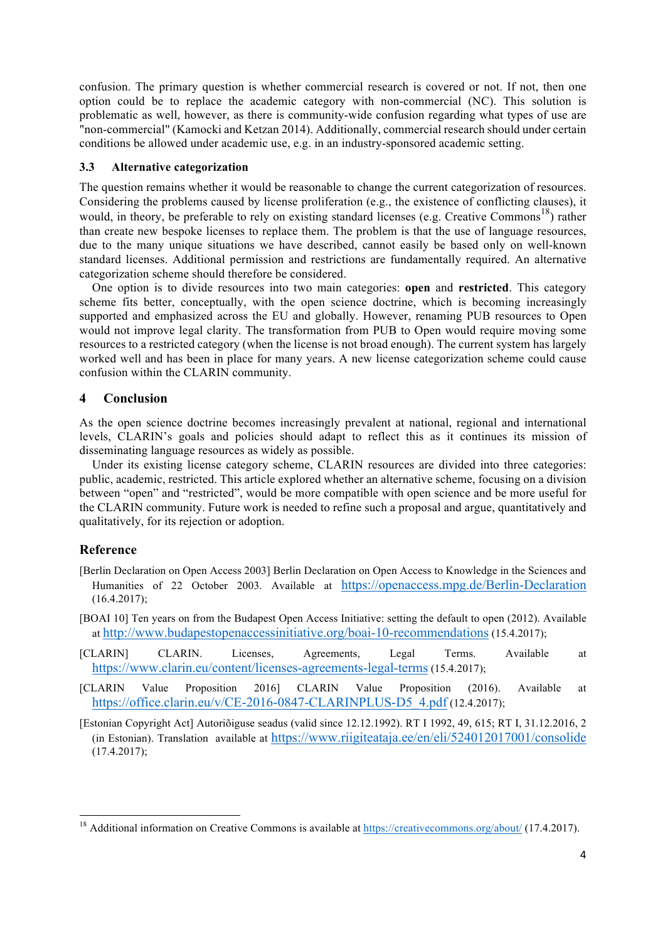confusion. The primary question is whether commercial research is covered or not. If not, then one option could be to replace the academic category with non-commercial (NC). This solution is problematic as well, however, as there is community-wide confusion regarding what types of use are "non-commercial" (Kamocki and Ketzan 2014). Additionally, commercial research should under certain conditions be allowed under academic use, e.g. in an industry-sponsored academic setting.

#### **3.3 Alternative categorization**

The question remains whether it would be reasonable to change the current categorization of resources. Considering the problems caused by license proliferation (e.g., the existence of conflicting clauses), it would, in theory, be preferable to rely on existing standard licenses (e.g. Creative Commons<sup>18</sup>) rather than create new bespoke licenses to replace them. The problem is that the use of language resources, due to the many unique situations we have described, cannot easily be based only on well-known standard licenses. Additional permission and restrictions are fundamentally required. An alternative categorization scheme should therefore be considered.

One option is to divide resources into two main categories: **open** and **restricted**. This category scheme fits better, conceptually, with the open science doctrine, which is becoming increasingly supported and emphasized across the EU and globally. However, renaming PUB resources to Open would not improve legal clarity. The transformation from PUB to Open would require moving some resources to a restricted category (when the license is not broad enough). The current system has largely worked well and has been in place for many years. A new license categorization scheme could cause confusion within the CLARIN community.

## **4 Conclusion**

As the open science doctrine becomes increasingly prevalent at national, regional and international levels, CLARIN's goals and policies should adapt to reflect this as it continues its mission of disseminating language resources as widely as possible.

Under its existing license category scheme, CLARIN resources are divided into three categories: public, academic, restricted. This article explored whether an alternative scheme, focusing on a division between "open" and "restricted", would be more compatible with open science and be more useful for the CLARIN community. Future work is needed to refine such a proposal and argue, quantitatively and qualitatively, for its rejection or adoption.

## **Reference**

<u> 1989 - Johann Barn, mars ann an t-Amhain an t-Amhain an t-Amhain an t-Amhain an t-Amhain an t-Amhain an t-Amh</u>

- [Berlin Declaration on Open Access 2003] Berlin Declaration on Open Access to Knowledge in the Sciences and Humanities of 22 October 2003. Available at https://openaccess.mpg.de/Berlin-Declaration (16.4.2017);
- [BOAI 10] Ten years on from the Budapest Open Access Initiative: setting the default to open (2012). Available at http://www.budapestopenaccessinitiative.org/boai-10-recommendations (15.4.2017);
- [CLARIN] CLARIN. Licenses, Agreements, Legal Terms. Available at https://www.clarin.eu/content/licenses-agreements-legal-terms (15.4.2017);
- [CLARIN Value Proposition 2016] CLARIN Value Proposition (2016). Available at https://office.clarin.eu/v/CE-2016-0847-CLARINPLUS-D5\_4.pdf (12.4.2017);
- [Estonian Copyright Act] Autoriõiguse seadus (valid since 12.12.1992). RT I 1992, 49, 615; RT I, 31.12.2016, 2 (in Estonian). Translation available at https://www.riigiteataja.ee/en/eli/524012017001/consolide (17.4.2017);

<sup>&</sup>lt;sup>18</sup> Additional information on Creative Commons is available at https://creativecommons.org/about/ (17.4.2017).